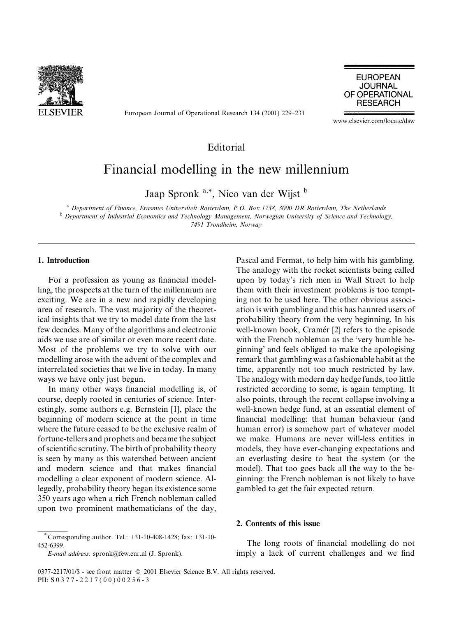

European Journal of Operational Research 134 (2001) 229–231

**EUROPEAN JOURNAL** OF OPERATIONAL **RESEARCH** 

www.elsevier.com/locate/dsw

## Editorial

# Financial modelling in the new millennium

Jaap Spronk<sup>a,\*</sup>, Nico van der Wijst b

<sup>a</sup> Department of Finance, Erasmus Universiteit Rotterdam, P.O. Box 1738, 3000 DR Rotterdam, The Netherlands <sup>b</sup> Department of Industrial Economics and Technology Management, Norwegian University of Science and Technology, 7491 Trondheim, Norway

#### 1. Introduction

For a profession as young as financial modelling, the prospects at the turn of the millennium are exciting. We are in a new and rapidly developing area of research. The vast majority of the theoretical insights that we try to model date from the last few decades. Many of the algorithms and electronic aids we use are of similar or even more recent date. Most of the problems we try to solve with our modelling arose with the advent of the complex and interrelated societies that we live in today. In many ways we have only just begun.

In many other ways financial modelling is, of course, deeply rooted in centuries of science. Interestingly, some authors e.g. Bernstein [1], place the beginning of modern science at the point in time where the future ceased to be the exclusive realm of fortune-tellers and prophets and became the subject of scientific scrutiny. The birth of probability theory is seen by many as this watershed between ancient and modern science and that makes financial modelling a clear exponent of modern science. Allegedly, probability theory began its existence some 350 years ago when a rich French nobleman called upon two prominent mathematicians of the day,

Pascal and Fermat, to help him with his gambling. The analogy with the rocket scientists being called upon by today's rich men in Wall Street to help them with their investment problems is too tempting not to be used here. The other obvious association is with gambling and this has haunted users of probability theory from the very beginning. In his well-known book, Cramér [2] refers to the episode with the French nobleman as the 'very humble beginning' and feels obliged to make the apologising remark that gambling was a fashionable habit at the time, apparently not too much restricted by law. The analogy with modern day hedge funds, too little restricted according to some, is again tempting. It also points, through the recent collapse involving a well-known hedge fund, at an essential element of financial modelling: that human behaviour (and human error) is somehow part of whatever model we make. Humans are never will-less entities in models, they have ever-changing expectations and an everlasting desire to beat the system (or the model). That too goes back all the way to the beginning: the French nobleman is not likely to have gambled to get the fair expected return.

### 2. Contents of this issue

E-mail address: spronk@few.eur.nl (J. Spronk).

The long roots of financial modelling do not imply a lack of current challenges and we find

Corresponding author. Tel.:  $+31-10-408-1428$ ; fax:  $+31-10-$ 452-6399.

<sup>0377-2217/01/\$ -</sup> see front matter © 2001 Elsevier Science B.V. All rights reserved. PII: S 0 3 7 7 - 2 2 1 7 (00) 0 0 2 5 6 - 3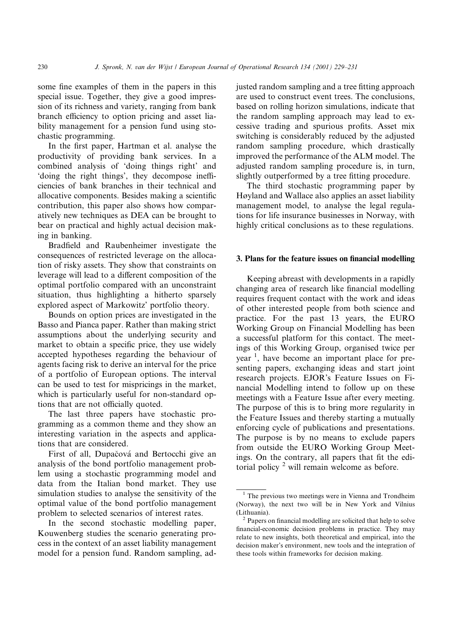some fine examples of them in the papers in this special issue. Together, they give a good impression of its richness and variety, ranging from bank branch efficiency to option pricing and asset liability management for a pension fund using stochastic programming.

In the first paper, Hartman et al. analyse the productivity of providing bank services. In a combined analysis of 'doing things right' and 'doing the right things', they decompose inefficiencies of bank branches in their technical and allocative components. Besides making a scientific contribution, this paper also shows how comparatively new techniques as DEA can be brought to bear on practical and highly actual decision making in banking.

Bradfield and Raubenheimer investigate the consequences of restricted leverage on the allocation of risky assets. They show that constraints on leverage will lead to a different composition of the optimal portfolio compared with an unconstraint situation, thus highlighting a hitherto sparsely explored aspect of Markowitz' portfolio theory.

Bounds on option prices are investigated in the Basso and Pianca paper. Rather than making strict assumptions about the underlying security and market to obtain a specific price, they use widely accepted hypotheses regarding the behaviour of agents facing risk to derive an interval for the price of a portfolio of European options. The interval can be used to test for mispricings in the market, which is particularly useful for non-standard options that are not officially quoted.

The last three papers have stochastic programming as a common theme and they show an interesting variation in the aspects and applications that are considered.

First of all, Dupačová and Bertocchi give an analysis of the bond portfolio management problem using a stochastic programming model and data from the Italian bond market. They use simulation studies to analyse the sensitivity of the optimal value of the bond portfolio management problem to selected scenarios of interest rates.

In the second stochastic modelling paper, Kouwenberg studies the scenario generating process in the context of an asset liability management model for a pension fund. Random sampling, adjusted random sampling and a tree fitting approach are used to construct event trees. The conclusions, based on rolling horizon simulations, indicate that the random sampling approach may lead to excessive trading and spurious profits. Asset mix switching is considerably reduced by the adjusted random sampling procedure, which drastically improved the performance of the ALM model. The adjusted random sampling procedure is, in turn, slightly outperformed by a tree fitting procedure.

The third stochastic programming paper by Høyland and Wallace also applies an asset liability management model, to analyse the legal regulations for life insurance businesses in Norway, with highly critical conclusions as to these regulations.

#### 3. Plans for the feature issues on financial modelling

Keeping abreast with developments in a rapidly changing area of research like financial modelling requires frequent contact with the work and ideas of other interested people from both science and practice. For the past 13 years, the EURO Working Group on Financial Modelling has been a successful platform for this contact. The meetings of this Working Group, organised twice per year  $\frac{1}{2}$ , have become an important place for presenting papers, exchanging ideas and start joint research projects. EJOR's Feature Issues on Financial Modelling intend to follow up on these meetings with a Feature Issue after every meeting. The purpose of this is to bring more regularity in the Feature Issues and thereby starting a mutually enforcing cycle of publications and presentations. The purpose is by no means to exclude papers from outside the EURO Working Group Meetings. On the contrary, all papers that fit the editorial policy  $2$  will remain welcome as before.

 $1$  The previous two meetings were in Vienna and Trondheim (Norway), the next two will be in New York and Vilnius (Lithuania).

Papers on financial modelling are solicited that help to solve financial-economic decision problems in practice. They may relate to new insights, both theoretical and empirical, into the decision maker's environment, new tools and the integration of these tools within frameworks for decision making.